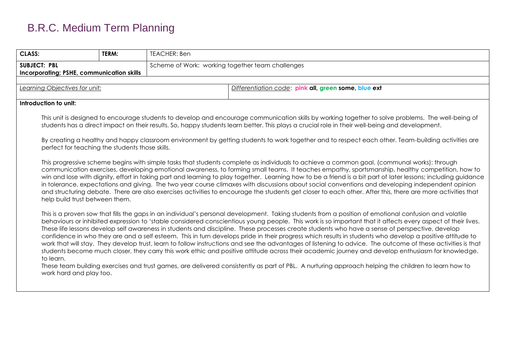| <b>CLASS:</b>                                                                                                                                                                                                                                                                                                                                                                                                                                                                                                                                                                                                                                                                                                                                                                                                                                                                                                                                                                                                                                                                                                                                          | TERM: | TEACHER: Ben |                                                                                                                                                                                                                                                                                                                                                                                                                                                                                                                                                                                                                                                                                                                                                                                   |  |  |  |  |
|--------------------------------------------------------------------------------------------------------------------------------------------------------------------------------------------------------------------------------------------------------------------------------------------------------------------------------------------------------------------------------------------------------------------------------------------------------------------------------------------------------------------------------------------------------------------------------------------------------------------------------------------------------------------------------------------------------------------------------------------------------------------------------------------------------------------------------------------------------------------------------------------------------------------------------------------------------------------------------------------------------------------------------------------------------------------------------------------------------------------------------------------------------|-------|--------------|-----------------------------------------------------------------------------------------------------------------------------------------------------------------------------------------------------------------------------------------------------------------------------------------------------------------------------------------------------------------------------------------------------------------------------------------------------------------------------------------------------------------------------------------------------------------------------------------------------------------------------------------------------------------------------------------------------------------------------------------------------------------------------------|--|--|--|--|
| <b>SUBJECT: PBL</b><br>Incorporating; PSHE, communication skills                                                                                                                                                                                                                                                                                                                                                                                                                                                                                                                                                                                                                                                                                                                                                                                                                                                                                                                                                                                                                                                                                       |       |              | Scheme of Work: working together team challenges                                                                                                                                                                                                                                                                                                                                                                                                                                                                                                                                                                                                                                                                                                                                  |  |  |  |  |
|                                                                                                                                                                                                                                                                                                                                                                                                                                                                                                                                                                                                                                                                                                                                                                                                                                                                                                                                                                                                                                                                                                                                                        |       |              |                                                                                                                                                                                                                                                                                                                                                                                                                                                                                                                                                                                                                                                                                                                                                                                   |  |  |  |  |
| Learning Objectives for unit:                                                                                                                                                                                                                                                                                                                                                                                                                                                                                                                                                                                                                                                                                                                                                                                                                                                                                                                                                                                                                                                                                                                          |       |              | Differentiation code: pink all, green some, blue ext                                                                                                                                                                                                                                                                                                                                                                                                                                                                                                                                                                                                                                                                                                                              |  |  |  |  |
| Introduction to unit:                                                                                                                                                                                                                                                                                                                                                                                                                                                                                                                                                                                                                                                                                                                                                                                                                                                                                                                                                                                                                                                                                                                                  |       |              |                                                                                                                                                                                                                                                                                                                                                                                                                                                                                                                                                                                                                                                                                                                                                                                   |  |  |  |  |
|                                                                                                                                                                                                                                                                                                                                                                                                                                                                                                                                                                                                                                                                                                                                                                                                                                                                                                                                                                                                                                                                                                                                                        |       |              |                                                                                                                                                                                                                                                                                                                                                                                                                                                                                                                                                                                                                                                                                                                                                                                   |  |  |  |  |
|                                                                                                                                                                                                                                                                                                                                                                                                                                                                                                                                                                                                                                                                                                                                                                                                                                                                                                                                                                                                                                                                                                                                                        |       |              | This unit is designed to encourage students to develop and encourage communication skills by working together to solve problems. The well-being of<br>students has a direct impact on their results. So, happy students learn better. This plays a crucial role in their well-being and development.                                                                                                                                                                                                                                                                                                                                                                                                                                                                              |  |  |  |  |
| perfect for teaching the students those skills.                                                                                                                                                                                                                                                                                                                                                                                                                                                                                                                                                                                                                                                                                                                                                                                                                                                                                                                                                                                                                                                                                                        |       |              | By creating a healthy and happy classroom environment by getting students to work together and to respect each other. Team-building activities are                                                                                                                                                                                                                                                                                                                                                                                                                                                                                                                                                                                                                                |  |  |  |  |
| help build trust between them.                                                                                                                                                                                                                                                                                                                                                                                                                                                                                                                                                                                                                                                                                                                                                                                                                                                                                                                                                                                                                                                                                                                         |       |              | This progressive scheme begins with simple tasks that students complete as individuals to achieve a common goal, (communal works): through<br>communication exercises, developing emotional awareness, to forming small teams. It teaches empathy, sportsmanship, healthy competition, how to<br>win and lose with dignity, effort in taking part and learning to play together. Learning how to be a friend is a bit part of later lessons; including guidance<br>in tolerance, expectations and giving. The two year course climaxes with discussions about social conventions and developing independent opinion<br>and structuring debate. There are also exercises activities to encourage the students get closer to each other. After this, there are more activities that |  |  |  |  |
| This is a proven sow that fills the gaps in an individual's personal development. Taking students from a position of emotional confusion and volatile<br>behaviours or inhibited expression to 'stable considered conscientious young people. This work is so important that it affects every aspect of their lives.<br>These life lessons develop self awareness in students and discipline. These processes create students who have a sense of perspective, develop<br>confidence in who they are and a self esteem. This in turn develops pride in their progress which results in students who develop a positive attitude to<br>work that will stay. They develop trust, learn to follow instructions and see the advantages of listening to advice. The outcome of these activities is that<br>students become much closer, they carry this work ethic and positive attitude across their academic journey and develop enthusiasm for knowledge.<br>to learn.<br>These team building exercises and trust games, are delivered consistently as part of PBL. A nurturing approach helping the children to learn how to<br>work hard and play too. |       |              |                                                                                                                                                                                                                                                                                                                                                                                                                                                                                                                                                                                                                                                                                                                                                                                   |  |  |  |  |
|                                                                                                                                                                                                                                                                                                                                                                                                                                                                                                                                                                                                                                                                                                                                                                                                                                                                                                                                                                                                                                                                                                                                                        |       |              |                                                                                                                                                                                                                                                                                                                                                                                                                                                                                                                                                                                                                                                                                                                                                                                   |  |  |  |  |
|                                                                                                                                                                                                                                                                                                                                                                                                                                                                                                                                                                                                                                                                                                                                                                                                                                                                                                                                                                                                                                                                                                                                                        |       |              |                                                                                                                                                                                                                                                                                                                                                                                                                                                                                                                                                                                                                                                                                                                                                                                   |  |  |  |  |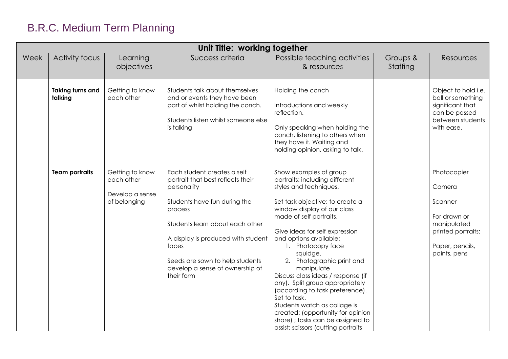|      | Unit Title: working together       |                                                                  |                                                                                                                                                                                                                                                                                                  |                                                                                                                                                                                                                                                                                                                                                                                                                                                                                                                                                                                                      |                      |                                                                                                                          |
|------|------------------------------------|------------------------------------------------------------------|--------------------------------------------------------------------------------------------------------------------------------------------------------------------------------------------------------------------------------------------------------------------------------------------------|------------------------------------------------------------------------------------------------------------------------------------------------------------------------------------------------------------------------------------------------------------------------------------------------------------------------------------------------------------------------------------------------------------------------------------------------------------------------------------------------------------------------------------------------------------------------------------------------------|----------------------|--------------------------------------------------------------------------------------------------------------------------|
| Week | <b>Activity focus</b>              | Learning<br>objectives                                           | Success criteria                                                                                                                                                                                                                                                                                 | Possible teaching activities<br>& resources                                                                                                                                                                                                                                                                                                                                                                                                                                                                                                                                                          | Groups &<br>Staffing | Resources                                                                                                                |
|      | <b>Taking turns and</b><br>talking | Getting to know<br>each other                                    | Students talk about themselves<br>and or events they have been<br>part of whilst holding the conch.<br>Students listen whilst someone else<br>is talking                                                                                                                                         | Holding the conch<br>Introductions and weekly<br>reflection.<br>Only speaking when holding the<br>conch, listening to others when<br>they have it. Waiting and<br>holding opinion, asking to talk.                                                                                                                                                                                                                                                                                                                                                                                                   |                      | Object to hold i.e.<br>ball or something<br>significant that<br>can be passed<br>between students<br>with ease.          |
|      | <b>Team portraits</b>              | Getting to know<br>each other<br>Develop a sense<br>of belonging | Each student creates a self<br>portrait that best reflects their<br>personality<br>Students have fun during the<br>process<br>Students learn about each other<br>A display is produced with student<br>faces<br>Seeds are sown to help students<br>develop a sense of ownership of<br>their form | Show examples of group<br>portraits: including different<br>styles and techniques.<br>Set task objective: to create a<br>window display of our class<br>made of self portraits.<br>Give ideas for self expression<br>and options available:<br>1. Photocopy face<br>squidge.<br>2. Photographic print and<br>manipulate<br>Discuss class ideas / response (if<br>any). Split group appropriately<br>(according to task preference).<br>Set to task.<br>Students watch as collage is<br>created: (opportunity for opinion<br>share) ; tasks can be assigned to<br>assist; scissors (cutting portraits |                      | Photocopier<br>Camera<br>Scanner<br>For drawn or<br>manipulated<br>printed portraits:<br>Paper, pencils,<br>paints, pens |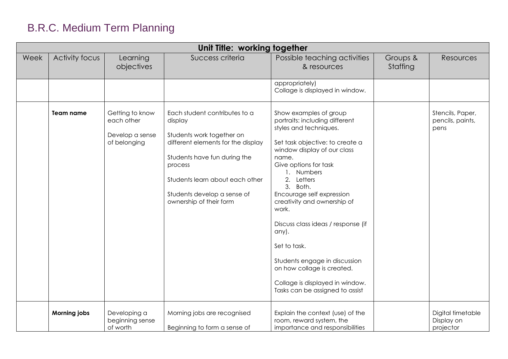|      | Unit Title: working together |                                                                  |                                                                                                                                                                                                                                                     |                                                                                                                                                                                                                                                                                                                                                                                                                                                                                                         |                      |                                              |
|------|------------------------------|------------------------------------------------------------------|-----------------------------------------------------------------------------------------------------------------------------------------------------------------------------------------------------------------------------------------------------|---------------------------------------------------------------------------------------------------------------------------------------------------------------------------------------------------------------------------------------------------------------------------------------------------------------------------------------------------------------------------------------------------------------------------------------------------------------------------------------------------------|----------------------|----------------------------------------------|
| Week | Activity focus               | Learning<br>objectives                                           | Success criteria                                                                                                                                                                                                                                    | Possible teaching activities<br>& resources                                                                                                                                                                                                                                                                                                                                                                                                                                                             | Groups &<br>Staffing | Resources                                    |
|      |                              |                                                                  |                                                                                                                                                                                                                                                     | appropriately)<br>Collage is displayed in window.                                                                                                                                                                                                                                                                                                                                                                                                                                                       |                      |                                              |
|      | <b>Team name</b>             | Getting to know<br>each other<br>Develop a sense<br>of belonging | Each student contributes to a<br>display<br>Students work together on<br>different elements for the display<br>Students have fun during the<br>process<br>Students learn about each other<br>Students develop a sense of<br>ownership of their form | Show examples of group<br>portraits: including different<br>styles and techniques.<br>Set task objective: to create a<br>window display of our class<br>name.<br>Give options for task<br>1. Numbers<br>2. Letters<br>3. Both.<br>Encourage self expression<br>creativity and ownership of<br>work.<br>Discuss class ideas / response (if<br>any).<br>Set to task.<br>Students engage in discussion<br>on how collage is created.<br>Collage is displayed in window.<br>Tasks can be assigned to assist |                      | Stencils, Paper,<br>pencils, paints,<br>pens |
|      | <b>Morning jobs</b>          | Developing a<br>beginning sense<br>of worth                      | Morning jobs are recognised<br>Beginning to form a sense of                                                                                                                                                                                         | Explain the context (use) of the<br>room, reward system, the<br>importance and responsibilities                                                                                                                                                                                                                                                                                                                                                                                                         |                      | Digital timetable<br>Display on<br>projector |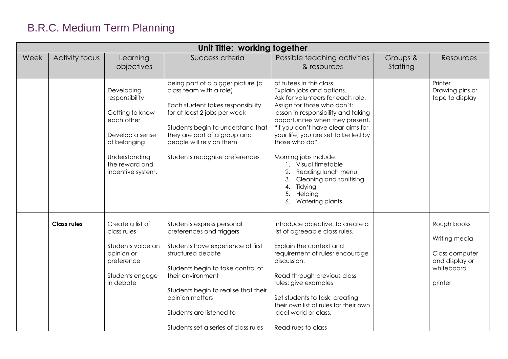|      |                    |                                                                                                                                                          | Unit Title: working together                                                                                                                                                                                                                                                                             |                                                                                                                                                                                                                                                                                                                                                                                                                                                                        |                      |                                                                                           |
|------|--------------------|----------------------------------------------------------------------------------------------------------------------------------------------------------|----------------------------------------------------------------------------------------------------------------------------------------------------------------------------------------------------------------------------------------------------------------------------------------------------------|------------------------------------------------------------------------------------------------------------------------------------------------------------------------------------------------------------------------------------------------------------------------------------------------------------------------------------------------------------------------------------------------------------------------------------------------------------------------|----------------------|-------------------------------------------------------------------------------------------|
| Week | Activity focus     | Learning<br>objectives                                                                                                                                   | Success criteria                                                                                                                                                                                                                                                                                         | Possible teaching activities<br>& resources                                                                                                                                                                                                                                                                                                                                                                                                                            | Groups &<br>Staffing | <b>Resources</b>                                                                          |
|      |                    | Developing<br>responsibility<br>Getting to know<br>each other<br>Develop a sense<br>of belonging<br>Understanding<br>the reward and<br>incentive system. | being part of a bigger picture (a<br>class team with a role)<br>Each student takes responsibility<br>for at least 2 jobs per week<br>Students begin to understand that<br>they are part of a group and<br>people will rely on them<br>Students recognise preferences                                     | of tutees in this class.<br>Explain jobs and options.<br>Ask for volunteers for each role.<br>Assign for those who don't:<br>lesson in responsibility and taking<br>opportunities when they present.<br>"if you don't have clear aims for<br>your life, you are set to be led by<br>those who do"<br>Morning jobs include:<br>1. Visual timetable<br>2. Reading lunch menu<br>3.<br>Cleaning and sanitising<br>Tidying<br>4.<br>Helping<br>5.<br>Watering plants<br>6. |                      | Printer<br>Drawing pins or<br>tape to display                                             |
|      | <b>Class rules</b> | Create a list of<br>class rules<br>Students voice an<br>opinion or<br>preference<br>Students engage<br>in debate                                         | Students express personal<br>preferences and triggers<br>Students have experience of first<br>structured debate<br>Students begin to take control of<br>their environment<br>Students begin to realise that their<br>opinion matters<br>Students are listened to<br>Students set a series of class rules | Introduce objective: to create a<br>list of agreeable class rules.<br>Explain the context and<br>requirement of rules; encourage<br>discussion.<br>Read through previous class<br>rules; give examples<br>Set students to task; creating<br>their own list of rules for their own<br>ideal world or class.<br>Read rues to class                                                                                                                                       |                      | Rough books<br>Writing media<br>Class computer<br>and display or<br>whiteboard<br>printer |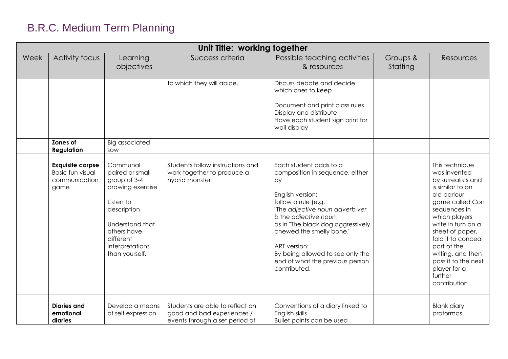|      | Unit Title: working together                                                |                                                                                                                                                                                 |                                                                                                 |                                                                                                                                                                                                                                                                                                                                                |                      |                                                                                                                                                                                                                                                                                                                  |
|------|-----------------------------------------------------------------------------|---------------------------------------------------------------------------------------------------------------------------------------------------------------------------------|-------------------------------------------------------------------------------------------------|------------------------------------------------------------------------------------------------------------------------------------------------------------------------------------------------------------------------------------------------------------------------------------------------------------------------------------------------|----------------------|------------------------------------------------------------------------------------------------------------------------------------------------------------------------------------------------------------------------------------------------------------------------------------------------------------------|
| Week | <b>Activity focus</b>                                                       | Learning<br>objectives                                                                                                                                                          | Success criteria                                                                                | Possible teaching activities<br>& resources                                                                                                                                                                                                                                                                                                    | Groups &<br>Staffing | <b>Resources</b>                                                                                                                                                                                                                                                                                                 |
|      |                                                                             |                                                                                                                                                                                 | to which they will abide.                                                                       | Discuss debate and decide<br>which ones to keep<br>Document and print class rules<br>Display and distribute<br>Have each student sign print for<br>wall display                                                                                                                                                                                |                      |                                                                                                                                                                                                                                                                                                                  |
|      | Zones of<br><b>Regulation</b>                                               | <b>Big associated</b><br>sow                                                                                                                                                    |                                                                                                 |                                                                                                                                                                                                                                                                                                                                                |                      |                                                                                                                                                                                                                                                                                                                  |
|      | <b>Exquisite corpse</b><br><b>Basic fun visual</b><br>communication<br>game | Communal<br>paired or small<br>group of 3-4<br>drawing exercise<br>Listen to<br>description<br>Understand that<br>others have<br>different<br>interpretations<br>than yourself. | Students follow instructions and<br>work together to produce a<br>hybrid monster                | Each student adds to a<br>composition in sequence, either<br>by<br>English version:<br>follow a rule (e.g.<br>"The adjective noun adverb ver<br>b the adjective noun."<br>as in "The black dog aggressively<br>chewed the smelly bone."<br>ART version:<br>By being allowed to see only the<br>end of what the previous person<br>contributed. |                      | This technique<br>was invented<br>by surrealists and<br>is similar to an<br>old parlour<br>game called Con<br>sequences in<br>which players<br>write in turn on a<br>sheet of paper,<br>fold it to conceal<br>part of the<br>writing, and then<br>pass it to the next<br>player for a<br>further<br>contribution |
|      | <b>Diaries and</b><br>emotional<br>diaries                                  | Develop a means<br>of self expression                                                                                                                                           | Students are able to reflect on<br>good and bad experiences /<br>events through a set period of | Conventions of a diary linked to<br>English skills<br>Bullet points can be used                                                                                                                                                                                                                                                                |                      | <b>Blank diary</b><br>proformas                                                                                                                                                                                                                                                                                  |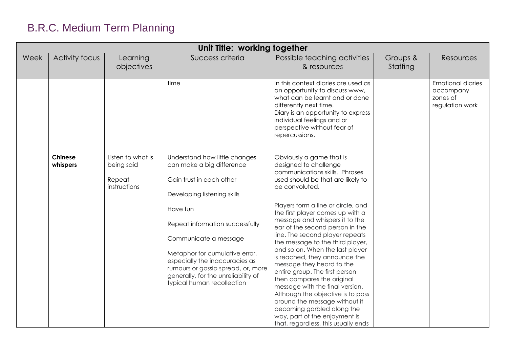| Unit Title: working together |                            |                                                           |                                                                                                                                                                                                                                                                                                                                                                              |                                                                                                                                                                                                                                                                                                                                                                                                                                                                                                                                                                                                                                                                                                                                                  |                      |                                                                      |
|------------------------------|----------------------------|-----------------------------------------------------------|------------------------------------------------------------------------------------------------------------------------------------------------------------------------------------------------------------------------------------------------------------------------------------------------------------------------------------------------------------------------------|--------------------------------------------------------------------------------------------------------------------------------------------------------------------------------------------------------------------------------------------------------------------------------------------------------------------------------------------------------------------------------------------------------------------------------------------------------------------------------------------------------------------------------------------------------------------------------------------------------------------------------------------------------------------------------------------------------------------------------------------------|----------------------|----------------------------------------------------------------------|
| Week                         | <b>Activity focus</b>      | Learning<br>objectives                                    | Success criteria                                                                                                                                                                                                                                                                                                                                                             | Possible teaching activities<br>& resources                                                                                                                                                                                                                                                                                                                                                                                                                                                                                                                                                                                                                                                                                                      | Groups &<br>Staffing | Resources                                                            |
|                              |                            |                                                           | time                                                                                                                                                                                                                                                                                                                                                                         | In this context diaries are used as<br>an opportunity to discuss www,<br>what can be learnt and or done<br>differently next time.<br>Diary is an opportunity to express<br>individual feelings and or<br>perspective without fear of<br>repercussions.                                                                                                                                                                                                                                                                                                                                                                                                                                                                                           |                      | <b>Emotional diaries</b><br>accompany<br>zones of<br>regulation work |
|                              | <b>Chinese</b><br>whispers | Listen to what is<br>being said<br>Repeat<br>instructions | Understand how little changes<br>can make a big difference<br>Gain trust in each other<br>Developing listening skills<br>Have fun<br>Repeat information successfully<br>Communicate a message<br>Metaphor for cumulative error,<br>especially the inaccuracies as<br>rumours or gossip spread, or, more<br>generally, for the unreliability of<br>typical human recollection | Obviously a game that is<br>designed to challenge<br>communications skills. Phrases<br>used should be that are likely to<br>be convoluted.<br>Players form a line or circle, and<br>the first player comes up with a<br>message and whispers it to the<br>ear of the second person in the<br>line. The second player repeats<br>the message to the third player,<br>and so on. When the last player<br>is reached, they announce the<br>message they heard to the<br>entire group. The first person<br>then compares the original<br>message with the final version.<br>Although the objective is to pass<br>around the message without it<br>becoming garbled along the<br>way, part of the enjoyment is<br>that, regardless, this usually ends |                      |                                                                      |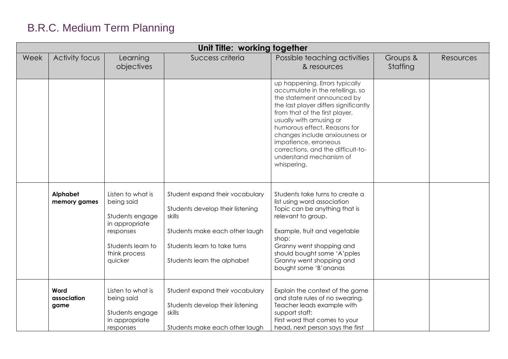|      | Unit Title: working together |                                                                                                                                    |                                                                                                                                                                                |                                                                                                                                                                                                                                                                                                                                                                                   |                      |                  |
|------|------------------------------|------------------------------------------------------------------------------------------------------------------------------------|--------------------------------------------------------------------------------------------------------------------------------------------------------------------------------|-----------------------------------------------------------------------------------------------------------------------------------------------------------------------------------------------------------------------------------------------------------------------------------------------------------------------------------------------------------------------------------|----------------------|------------------|
| Week | Activity focus               | Learning<br>objectives                                                                                                             | Success criteria                                                                                                                                                               | Possible teaching activities<br>& resources                                                                                                                                                                                                                                                                                                                                       | Groups &<br>Staffing | <b>Resources</b> |
|      |                              |                                                                                                                                    |                                                                                                                                                                                | up happening. Errors typically<br>accumulate in the retellings, so<br>the statement announced by<br>the last player differs significantly<br>from that of the first player,<br>usually with amusing or<br>humorous effect. Reasons for<br>changes include anxiousness or<br>impatience, erroneous<br>corrections, and the difficult-to-<br>understand mechanism of<br>whispering. |                      |                  |
|      | Alphabet<br>memory games     | Listen to what is<br>being said<br>Students engage<br>in appropriate<br>responses<br>Students learn to<br>think process<br>quicker | Student expand their vocabulary<br>Students develop their listening<br>skills<br>Students make each other laugh<br>Students learn to take turns<br>Students learn the alphabet | Students take turns to create a<br>list using word association<br>Topic can be anything that is<br>relevant to group.<br>Example, fruit and vegetable<br>shop:<br>Granny went shopping and<br>should bought some 'A'pples<br>Granny went shopping and<br>bought some 'B'ananas                                                                                                    |                      |                  |
|      | Word<br>association<br>game  | Listen to what is<br>being said<br>Students engage<br>in appropriate<br>responses                                                  | Student expand their vocabulary<br>Students develop their listening<br>skills<br>Students make each other laugh                                                                | Explain the context of the game<br>and state rules of no swearing.<br>Teacher leads example with<br>support staff:<br>First word that comes to your<br>head, next person says the first                                                                                                                                                                                           |                      |                  |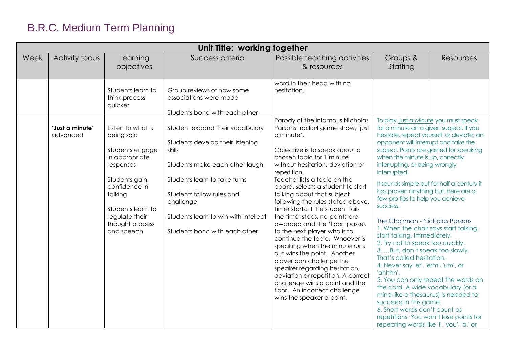| Unit Title: working together |                             |                                                                                                                                                                                                        |                                                                                                                                                                                                                                                                    |                                                                                                                                                                                                                                                                                                                                                                                                                                                                                                                                                                                                                                                                                                                                                        |                                                                                                                                                                                                                                                                                                                                                                                                                                                                                                                                                                                                                                                                                                                  |                                                                                                                                                                                                                     |
|------------------------------|-----------------------------|--------------------------------------------------------------------------------------------------------------------------------------------------------------------------------------------------------|--------------------------------------------------------------------------------------------------------------------------------------------------------------------------------------------------------------------------------------------------------------------|--------------------------------------------------------------------------------------------------------------------------------------------------------------------------------------------------------------------------------------------------------------------------------------------------------------------------------------------------------------------------------------------------------------------------------------------------------------------------------------------------------------------------------------------------------------------------------------------------------------------------------------------------------------------------------------------------------------------------------------------------------|------------------------------------------------------------------------------------------------------------------------------------------------------------------------------------------------------------------------------------------------------------------------------------------------------------------------------------------------------------------------------------------------------------------------------------------------------------------------------------------------------------------------------------------------------------------------------------------------------------------------------------------------------------------------------------------------------------------|---------------------------------------------------------------------------------------------------------------------------------------------------------------------------------------------------------------------|
| Week                         | Activity focus              | Learning<br>objectives                                                                                                                                                                                 | Success criteria                                                                                                                                                                                                                                                   | Possible teaching activities<br>& resources                                                                                                                                                                                                                                                                                                                                                                                                                                                                                                                                                                                                                                                                                                            | Groups &<br>Staffing                                                                                                                                                                                                                                                                                                                                                                                                                                                                                                                                                                                                                                                                                             | Resources                                                                                                                                                                                                           |
|                              |                             | Students learn to<br>think process<br>quicker                                                                                                                                                          | Group reviews of how some<br>associations were made<br>Students bond with each other                                                                                                                                                                               | word in their head with no<br>hesitation.<br>Parody of the infamous Nicholas                                                                                                                                                                                                                                                                                                                                                                                                                                                                                                                                                                                                                                                                           | To play Just a Minute you must speak                                                                                                                                                                                                                                                                                                                                                                                                                                                                                                                                                                                                                                                                             |                                                                                                                                                                                                                     |
|                              | 'Just a minute'<br>advanced | Listen to what is<br>being said<br>Students engage<br>in appropriate<br>responses<br>Students gain<br>confidence in<br>talking<br>Students learn to<br>regulate their<br>thought process<br>and speech | Student expand their vocabulary<br>Students develop their listening<br>skills<br>Students make each other laugh<br>Students learn to take turns<br>Students follow rules and<br>challenge<br>Students learn to win with intellect<br>Students bond with each other | Parsons' radio4 game show, 'just<br>a minute'.<br>Objective is to speak about a<br>chosen topic for 1 minute<br>without hesitation, deviation or<br>repetition.<br>Teacher lists a topic on the<br>board, selects a student to start<br>talking about that subject<br>following the rules stated above.<br>Timer starts: if the student fails<br>the timer stops, no points are<br>awarded and the 'floor' passes<br>to the next player who is to<br>continue the topic. Whoever is<br>speaking when the minute runs<br>out wins the point. Another<br>player can challenge the<br>speaker regarding hesitation,<br>deviation or repetition. A correct<br>challenge wins a point and the<br>floor. An incorrect challenge<br>wins the speaker a point. | for a minute on a given subject. If you<br>opponent will interrupt and take the<br>when the minute is up, correctly<br>interrupting, or being wrongly<br>interrupted.<br>has proven anything but. Here are a<br>few pro tips to help you achieve<br>success.<br>The Chairman - Nicholas Parsons<br>1. When the chair says start talking,<br>start talking. Immediately.<br>2. Try not to speak too quickly.<br>3.  But, don't speak too slowly.<br>That's called hesitation.<br>4. Never say 'er', 'erm', 'um', or<br>'ahhhh'.<br>the card. A wide vocabulary (or a<br>mind like a thesaurus) is needed to<br>succeed in this game.<br>6. Short words don't count as<br>repeating words like 'I', 'you', 'a,' or | hesitate, repeat yourself, or deviate, an<br>subject. Points are gained for speaking<br>It sounds simple but for half a century it<br>5. You can only repeat the words on<br>repetitions. You won't lose points for |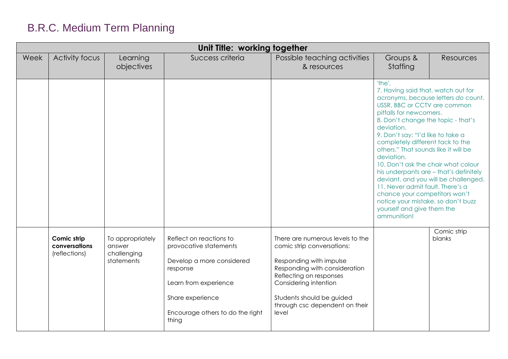| Unit Title: working together |                                               |                                                         |                                                                                                                                                                                      |                                                                                                                                                                                                                                                        |                                                                                                                                                                                                                                                                                                                                                                                                                                                                                                                                                                                                                    |                       |
|------------------------------|-----------------------------------------------|---------------------------------------------------------|--------------------------------------------------------------------------------------------------------------------------------------------------------------------------------------|--------------------------------------------------------------------------------------------------------------------------------------------------------------------------------------------------------------------------------------------------------|--------------------------------------------------------------------------------------------------------------------------------------------------------------------------------------------------------------------------------------------------------------------------------------------------------------------------------------------------------------------------------------------------------------------------------------------------------------------------------------------------------------------------------------------------------------------------------------------------------------------|-----------------------|
| Week                         | <b>Activity focus</b>                         | Learning<br>objectives                                  | Success criteria                                                                                                                                                                     | Possible teaching activities<br>& resources                                                                                                                                                                                                            | Groups &<br>Staffing                                                                                                                                                                                                                                                                                                                                                                                                                                                                                                                                                                                               | <b>Resources</b>      |
|                              |                                               |                                                         |                                                                                                                                                                                      |                                                                                                                                                                                                                                                        | 'the'.<br>7. Having said that, watch out for<br>acronyms, because letters do count.<br>USSR, BBC or CCTV are common<br>pitfalls for newcomers.<br>8. Don't change the topic - that's<br>deviation.<br>9. Don't say: "I'd like to take a<br>completely different tack to the<br>others." That sounds like it will be<br>deviation.<br>10. Don't ask the chair what colour<br>his underpants are - that's definitely<br>deviant, and you will be challenged.<br>11. Never admit fault. There's a<br>chance your competitors won't<br>notice your mistake, so don't buzz<br>yourself and give them the<br>ammunition! |                       |
|                              | Comic strip<br>conversations<br>(reflections) | To appropriately<br>answer<br>challenging<br>statements | Reflect on reactions to<br>provocative statements<br>Develop a more considered<br>response<br>Learn from experience<br>Share experience<br>Encourage others to do the right<br>thing | There are numerous levels to the<br>comic strip conversations:<br>Responding with impulse<br>Responding with consideration<br>Reflecting on responses<br>Considering intention<br>Students should be guided<br>through csc dependent on their<br>level |                                                                                                                                                                                                                                                                                                                                                                                                                                                                                                                                                                                                                    | Comic strip<br>blanks |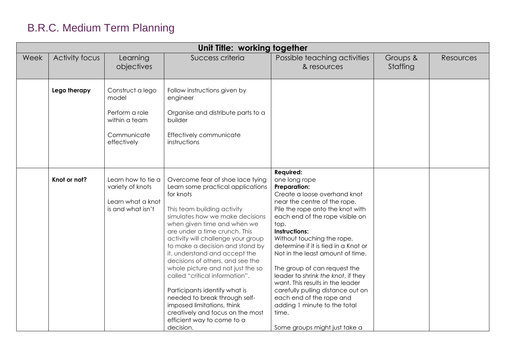|      | Unit Title: working together |                                                                                            |                                                                                                                                                                                                                                                                                                                                                                                                                                                                                                                                                                                                                          |                                                                                                                                                                                                                                                                                                                                                                                                                                                                                                                                                                                         |                      |                  |
|------|------------------------------|--------------------------------------------------------------------------------------------|--------------------------------------------------------------------------------------------------------------------------------------------------------------------------------------------------------------------------------------------------------------------------------------------------------------------------------------------------------------------------------------------------------------------------------------------------------------------------------------------------------------------------------------------------------------------------------------------------------------------------|-----------------------------------------------------------------------------------------------------------------------------------------------------------------------------------------------------------------------------------------------------------------------------------------------------------------------------------------------------------------------------------------------------------------------------------------------------------------------------------------------------------------------------------------------------------------------------------------|----------------------|------------------|
| Week | Activity focus               | Learning<br>objectives                                                                     | Success criteria                                                                                                                                                                                                                                                                                                                                                                                                                                                                                                                                                                                                         | Possible teaching activities<br>& resources                                                                                                                                                                                                                                                                                                                                                                                                                                                                                                                                             | Groups &<br>Staffing | <b>Resources</b> |
|      | Lego therapy                 | Construct a lego<br>model<br>Perform a role<br>within a team<br>Communicate<br>effectively | Follow instructions given by<br>engineer<br>Organise and distribute parts to a<br>builder<br>Effectively communicate<br>instructions                                                                                                                                                                                                                                                                                                                                                                                                                                                                                     |                                                                                                                                                                                                                                                                                                                                                                                                                                                                                                                                                                                         |                      |                  |
|      | Knot or not?                 | Learn how to tie a<br>variety of knots<br>Learn what a knot<br>is and what isn't           | Overcome fear of shoe lace tying<br>Learn some practical applications<br>for knots<br>This team building activity<br>simulates how we make decisions<br>when given time and when we<br>are under a time crunch. This<br>activity will challenge your group<br>to make a decision and stand by<br>it, understand and accept the<br>decisions of others, and see the<br>whole picture and not just the so<br>called "critical information".<br>Participants identify what is<br>needed to break through self-<br>imposed limitations, think<br>creatively and focus on the most<br>efficient way to come to a<br>decision. | <b>Required:</b><br>one long rope<br><b>Preparation:</b><br>Create a loose overhand knot<br>near the centre of the rope.<br>Pile the rope onto the knot with<br>each end of the rope visible on<br>top.<br>Instructions:<br>Without touching the rope,<br>determine if it is tied in a Knot or<br>Not in the least amount of time.<br>The group of can request the<br>leader to shrink the knot, if they<br>want. This results in the leader<br>carefully pulling distance out on<br>each end of the rope and<br>adding 1 minute to the total<br>time.<br>Some groups might just take a |                      |                  |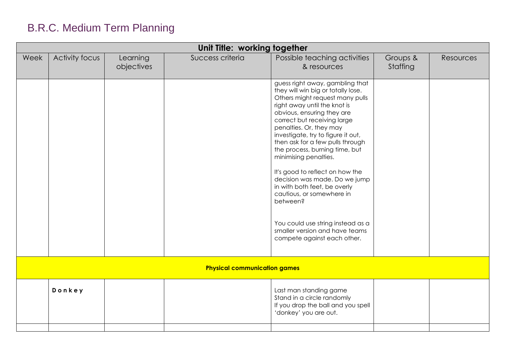| Possible teaching activities<br>Activity focus<br>Success criteria<br>Week<br>Learning<br>Groups &<br>objectives<br>Staffing<br>& resources<br>guess right away, gambling that<br>they will win big or totally lose.<br>Others might request many pulls<br>right away until the knot is<br>obvious, ensuring they are<br>correct but receiving large<br>penalties. Or, they may<br>investigate, try to figure it out,<br>then ask for a few pulls through<br>the process, burning time, but |                  |
|---------------------------------------------------------------------------------------------------------------------------------------------------------------------------------------------------------------------------------------------------------------------------------------------------------------------------------------------------------------------------------------------------------------------------------------------------------------------------------------------|------------------|
|                                                                                                                                                                                                                                                                                                                                                                                                                                                                                             | <b>Resources</b> |
| minimising penalties.<br>It's good to reflect on how the<br>decision was made. Do we jump<br>in with both feet, be overly<br>cautious, or somewhere in<br>between?<br>You could use string instead as a<br>smaller version and have teams<br>compete against each other.                                                                                                                                                                                                                    |                  |
| <b>Physical communication games</b>                                                                                                                                                                                                                                                                                                                                                                                                                                                         |                  |
| Donkey<br>Last man standing game<br>Stand in a circle randomly<br>If you drop the ball and you spell<br>'donkey' you are out.                                                                                                                                                                                                                                                                                                                                                               |                  |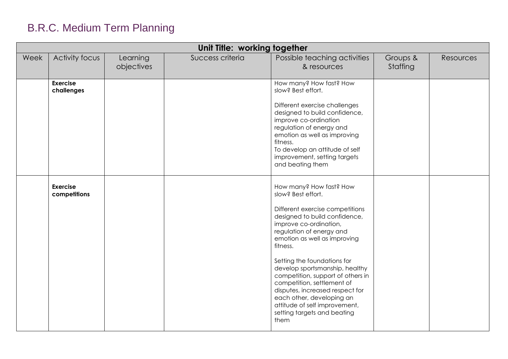|      | Unit Title: working together    |                        |                  |                                                                                                                                                                                                                                                                                                                                                                                                                                                                                                 |                      |           |  |
|------|---------------------------------|------------------------|------------------|-------------------------------------------------------------------------------------------------------------------------------------------------------------------------------------------------------------------------------------------------------------------------------------------------------------------------------------------------------------------------------------------------------------------------------------------------------------------------------------------------|----------------------|-----------|--|
| Week | Activity focus                  | Learning<br>objectives | Success criteria | Possible teaching activities<br>& resources                                                                                                                                                                                                                                                                                                                                                                                                                                                     | Groups &<br>Staffing | Resources |  |
|      | <b>Exercise</b><br>challenges   |                        |                  | How many? How fast? How<br>slow? Best effort.<br>Different exercise challenges<br>designed to build confidence,<br>improve co-ordination<br>regulation of energy and<br>emotion as well as improving<br>fitness.<br>To develop an attitude of self<br>improvement, setting targets<br>and beating them                                                                                                                                                                                          |                      |           |  |
|      | <b>Exercise</b><br>competitions |                        |                  | How many? How fast? How<br>slow? Best effort.<br>Different exercise competitions<br>designed to build confidence,<br>improve co-ordination,<br>regulation of energy and<br>emotion as well as improving<br>fitness.<br>Setting the foundations for<br>develop sportsmanship, healthy<br>competition, support of others in<br>competition, settlement of<br>disputes, increased respect for<br>each other, developing an<br>attitude of self improvement,<br>setting targets and beating<br>them |                      |           |  |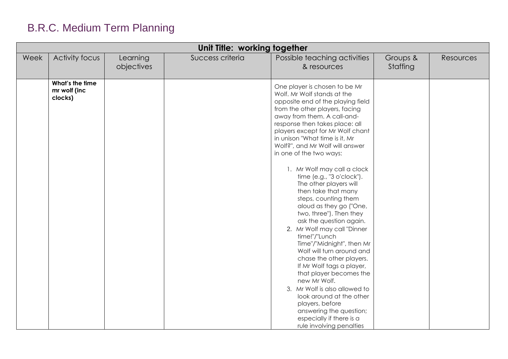| Unit Title: working together |                                            |                        |                  |                                                                                                                                                                                                                                                                                                                                                                                                                                                                                                                                                                                                                                                                                                                                                                                                                                                                                                                                                 |                      |           |  |  |
|------------------------------|--------------------------------------------|------------------------|------------------|-------------------------------------------------------------------------------------------------------------------------------------------------------------------------------------------------------------------------------------------------------------------------------------------------------------------------------------------------------------------------------------------------------------------------------------------------------------------------------------------------------------------------------------------------------------------------------------------------------------------------------------------------------------------------------------------------------------------------------------------------------------------------------------------------------------------------------------------------------------------------------------------------------------------------------------------------|----------------------|-----------|--|--|
| Week                         | Activity focus                             | Learning<br>objectives | Success criteria | Possible teaching activities<br>& resources                                                                                                                                                                                                                                                                                                                                                                                                                                                                                                                                                                                                                                                                                                                                                                                                                                                                                                     | Groups &<br>Staffing | Resources |  |  |
|                              | What's the time<br>mr wolf (inc<br>clocks) |                        |                  | One player is chosen to be Mr<br>Wolf. Mr Wolf stands at the<br>opposite end of the playing field<br>from the other players, facing<br>away from them. A call-and-<br>response then takes place: all<br>players except for Mr Wolf chant<br>in unison "What time is it, Mr<br>Wolf?", and Mr Wolf will answer<br>in one of the two ways:<br>1. Mr Wolf may call a clock<br>time (e.g., "3 o'clock").<br>The other players will<br>then take that many<br>steps, counting them<br>aloud as they go ("One,<br>two, three"). Then they<br>ask the question again.<br>2. Mr Wolf may call "Dinner<br>time!"/"Lunch<br>Time"/"Midnight", then Mr<br>Wolf will turn around and<br>chase the other players.<br>If Mr Wolf tags a player,<br>that player becomes the<br>new Mr Wolf.<br>3. Mr Wolf is also allowed to<br>look around at the other<br>players, before<br>answering the question;<br>especially if there is a<br>rule involving penalties |                      |           |  |  |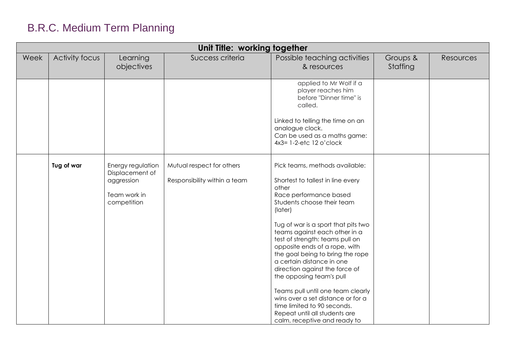| Unit Title: working together |                |                                                                                   |                                                           |                                                                                                                                                                                                                                                                                                                                                                                                                                                                                                                                                                                                      |                      |           |  |  |
|------------------------------|----------------|-----------------------------------------------------------------------------------|-----------------------------------------------------------|------------------------------------------------------------------------------------------------------------------------------------------------------------------------------------------------------------------------------------------------------------------------------------------------------------------------------------------------------------------------------------------------------------------------------------------------------------------------------------------------------------------------------------------------------------------------------------------------------|----------------------|-----------|--|--|
| Week                         | Activity focus | Learning<br>objectives                                                            | Success criteria                                          | Possible teaching activities<br>& resources                                                                                                                                                                                                                                                                                                                                                                                                                                                                                                                                                          | Groups &<br>Staffing | Resources |  |  |
|                              |                |                                                                                   |                                                           | applied to Mr Wolf if a<br>player reaches him<br>before "Dinner time" is<br>called.<br>Linked to telling the time on an<br>analogue clock.<br>Can be used as a maths game:<br>4x3= 1-2-etc 12 o'clock                                                                                                                                                                                                                                                                                                                                                                                                |                      |           |  |  |
|                              | Tug of war     | Energy regulation<br>Displacement of<br>aggression<br>Team work in<br>competition | Mutual respect for others<br>Responsibility within a team | Pick teams, methods available:<br>Shortest to tallest in line every<br>other<br>Race performance based<br>Students choose their team<br>(later)<br>Tug of war is a sport that pits two<br>teams against each other in a<br>test of strength: teams pull on<br>opposite ends of a rope, with<br>the goal being to bring the rope<br>a certain distance in one<br>direction against the force of<br>the opposing team's pull<br>Teams pull until one team clearly<br>wins over a set distance or for a<br>time limited to 90 seconds.<br>Repeat until all students are<br>calm, receptive and ready to |                      |           |  |  |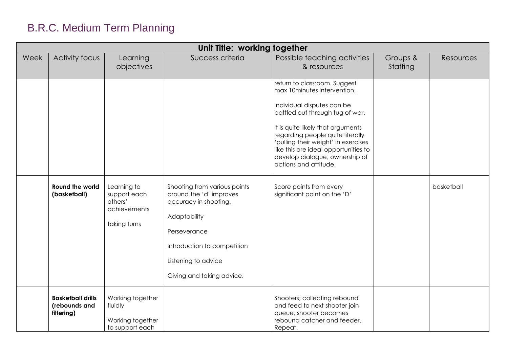| Unit Title: working together |                                                         |                                                                        |                                                                                                                                                                                                     |                                                                                                                                                                                                                                                                                                                                                                                                            |                      |                  |  |  |
|------------------------------|---------------------------------------------------------|------------------------------------------------------------------------|-----------------------------------------------------------------------------------------------------------------------------------------------------------------------------------------------------|------------------------------------------------------------------------------------------------------------------------------------------------------------------------------------------------------------------------------------------------------------------------------------------------------------------------------------------------------------------------------------------------------------|----------------------|------------------|--|--|
| Week                         | <b>Activity focus</b>                                   | Learning<br>objectives                                                 | Success criteria                                                                                                                                                                                    | Possible teaching activities<br>& resources                                                                                                                                                                                                                                                                                                                                                                | Groups &<br>Staffing | <b>Resources</b> |  |  |
|                              | Round the world<br>(basketball)                         | Learning to<br>support each<br>others'<br>achievements<br>taking turns | Shooting from various points<br>around the 'd' improves<br>accuracy in shooting.<br>Adaptability<br>Perseverance<br>Introduction to competition<br>Listening to advice<br>Giving and taking advice. | return to classroom. Suggest<br>max 10minutes intervention.<br>Individual disputes can be<br>battled out through tug of war.<br>It is quite likely that arguments<br>regarding people quite literally<br>'pulling their weight' in exercises<br>like this are ideal opportunities to<br>develop dialogue, ownership of<br>actions and attitude.<br>Score points from every<br>significant point on the 'D' |                      | basketball       |  |  |
|                              | <b>Basketball drills</b><br>(rebounds and<br>filtering) | Working together<br>fluidly<br>Working together<br>to support each     |                                                                                                                                                                                                     | Shooters; collecting rebound<br>and feed to next shooter join<br>queue, shooter becomes<br>rebound catcher and feeder.<br>Repeat.                                                                                                                                                                                                                                                                          |                      |                  |  |  |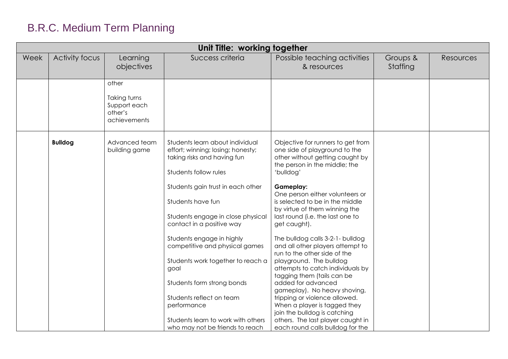| Unit Title: working together |                |                                                         |                                                                                                                                                                                                                                                                                                                                                                                                                                                                                                                        |                                                                                                                                                                                                                                                                                                                                                                                                                                                                                                                                                                                                                                                                                                                                                                         |                      |           |  |  |
|------------------------------|----------------|---------------------------------------------------------|------------------------------------------------------------------------------------------------------------------------------------------------------------------------------------------------------------------------------------------------------------------------------------------------------------------------------------------------------------------------------------------------------------------------------------------------------------------------------------------------------------------------|-------------------------------------------------------------------------------------------------------------------------------------------------------------------------------------------------------------------------------------------------------------------------------------------------------------------------------------------------------------------------------------------------------------------------------------------------------------------------------------------------------------------------------------------------------------------------------------------------------------------------------------------------------------------------------------------------------------------------------------------------------------------------|----------------------|-----------|--|--|
| Week                         | Activity focus | Learning<br>objectives                                  | Success criteria                                                                                                                                                                                                                                                                                                                                                                                                                                                                                                       | Possible teaching activities<br>& resources                                                                                                                                                                                                                                                                                                                                                                                                                                                                                                                                                                                                                                                                                                                             | Groups &<br>Staffing | Resources |  |  |
|                              |                | other                                                   |                                                                                                                                                                                                                                                                                                                                                                                                                                                                                                                        |                                                                                                                                                                                                                                                                                                                                                                                                                                                                                                                                                                                                                                                                                                                                                                         |                      |           |  |  |
|                              |                | Taking turns<br>Support each<br>other's<br>achievements |                                                                                                                                                                                                                                                                                                                                                                                                                                                                                                                        |                                                                                                                                                                                                                                                                                                                                                                                                                                                                                                                                                                                                                                                                                                                                                                         |                      |           |  |  |
| <b>Bulldog</b>               |                | Advanced team<br>building game                          | Students learn about individual<br>effort; winning; losing; honesty;<br>taking risks and having fun<br>Students follow rules<br>Students gain trust in each other<br>Students have fun<br>Students engage in close physical<br>contact in a positive way<br>Students engage in highly<br>competitive and physical games<br>Students work together to reach a<br>goal<br>Students form strong bonds<br>Students reflect on team<br>performance<br>Students learn to work with others<br>who may not be friends to reach | Objective for runners to get from<br>one side of playground to the<br>other without getting caught by<br>the person in the middle; the<br>'bulldog'<br><b>Gameplay:</b><br>One person either volunteers or<br>is selected to be in the middle<br>by virtue of them winning the<br>last round (i.e. the last one to<br>get caught).<br>The bulldog calls 3-2-1- bulldog<br>and all other players attempt to<br>run to the other side of the<br>playground. The bulldog<br>attempts to catch individuals by<br>tagging them (tails can be<br>added for advanced<br>gameplay). No heavy shoving,<br>tripping or violence allowed.<br>When a player is tagged they<br>join the bulldog is catching<br>others. The last player caught in<br>each round calls bulldog for the |                      |           |  |  |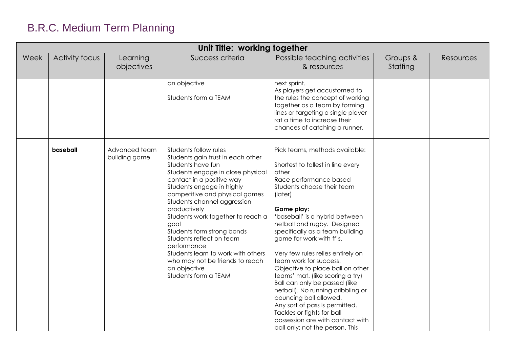| Unit Title: working together |                |                                |                                                                                                                                                                                                                                                                                                                                                                                                                                                                                                        |                                                                                                                                                                                                                                                                                                                                                                                                                                                                                                                                                                                                                                                                             |                      |           |  |  |
|------------------------------|----------------|--------------------------------|--------------------------------------------------------------------------------------------------------------------------------------------------------------------------------------------------------------------------------------------------------------------------------------------------------------------------------------------------------------------------------------------------------------------------------------------------------------------------------------------------------|-----------------------------------------------------------------------------------------------------------------------------------------------------------------------------------------------------------------------------------------------------------------------------------------------------------------------------------------------------------------------------------------------------------------------------------------------------------------------------------------------------------------------------------------------------------------------------------------------------------------------------------------------------------------------------|----------------------|-----------|--|--|
| Week                         | Activity focus | Learning<br>objectives         | Success criteria                                                                                                                                                                                                                                                                                                                                                                                                                                                                                       | Possible teaching activities<br>& resources                                                                                                                                                                                                                                                                                                                                                                                                                                                                                                                                                                                                                                 | Groups &<br>Staffing | Resources |  |  |
|                              |                |                                | an objective<br>Students form a TEAM                                                                                                                                                                                                                                                                                                                                                                                                                                                                   | next sprint.<br>As players get accustomed to<br>the rules the concept of working<br>together as a team by forming<br>lines or targeting a single player<br>rat a time to increase their<br>chances of catching a runner.                                                                                                                                                                                                                                                                                                                                                                                                                                                    |                      |           |  |  |
|                              | baseball       | Advanced team<br>building game | Students follow rules<br>Students gain trust in each other<br>Students have fun<br>Students engage in close physical<br>contact in a positive way<br>Students engage in highly<br>competitive and physical games<br>Students channel aggression<br>productively<br>Students work together to reach a<br>goal<br>Students form strong bonds<br>Students reflect on team<br>performance<br>Students learn to work with others<br>who may not be friends to reach<br>an objective<br>Students form a TEAM | Pick teams, methods available:<br>Shortest to tallest in line every<br>other<br>Race performance based<br>Students choose their team<br>(later)<br>Game play:<br>'baseball' is a hybrid between<br>netball and rugby. Designed<br>specifically as a team building<br>game for work with ff's.<br>Very few rules relies entirely on<br>team work for success.<br>Objective to place ball on other<br>teams' mat. (like scoring a try)<br>Ball can only be passed (like<br>netball). No running dribbling or<br>bouncing ball allowed.<br>Any sort of pass is permitted.<br>Tackles or fights for ball<br>possession are with contact with<br>ball only; not the person. This |                      |           |  |  |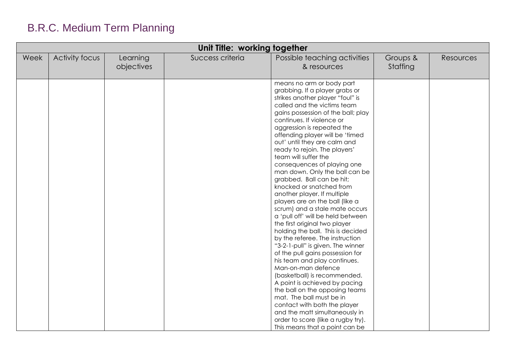| Unit Title: working together |                |                        |                  |                                                                                                                                                                                                                                                                                                                                                                                                                                                                                                                                                                                                                                                                                                                                                                                                                                                                                                                                                                                                                                                                                                                                                 |                      |           |  |  |
|------------------------------|----------------|------------------------|------------------|-------------------------------------------------------------------------------------------------------------------------------------------------------------------------------------------------------------------------------------------------------------------------------------------------------------------------------------------------------------------------------------------------------------------------------------------------------------------------------------------------------------------------------------------------------------------------------------------------------------------------------------------------------------------------------------------------------------------------------------------------------------------------------------------------------------------------------------------------------------------------------------------------------------------------------------------------------------------------------------------------------------------------------------------------------------------------------------------------------------------------------------------------|----------------------|-----------|--|--|
| Week                         | Activity focus | Learning<br>objectives | Success criteria | Possible teaching activities<br>& resources                                                                                                                                                                                                                                                                                                                                                                                                                                                                                                                                                                                                                                                                                                                                                                                                                                                                                                                                                                                                                                                                                                     | Groups &<br>Staffing | Resources |  |  |
|                              |                |                        |                  | means no arm or body part<br>grabbing. If a player grabs or<br>strikes another player "foul" is<br>called and the victims team<br>gains possession of the ball; play<br>continues. If violence or<br>aggression is repeated the<br>offending player will be 'timed<br>out' until they are calm and<br>ready to rejoin. The players'<br>team will suffer the<br>consequences of playing one<br>man down. Only the ball can be<br>grabbed. Ball can be hit;<br>knocked or snatched from<br>another player. If multiple<br>players are on the ball (like a<br>scrum) and a stale mate occurs<br>a 'pull off' will be held between<br>the first original two player<br>holding the ball. This is decided<br>by the referee. The instruction<br>"3-2-1-pull" is given. The winner<br>of the pull gains possession for<br>his team and play continues.<br>Man-on-man defence<br>(basketball) is recommended.<br>A point is achieved by pacing<br>the ball on the opposing teams<br>mat. The ball must be in<br>contact with both the player<br>and the matt simultaneously in<br>order to score (like a rugby try).<br>This means that a point can be |                      |           |  |  |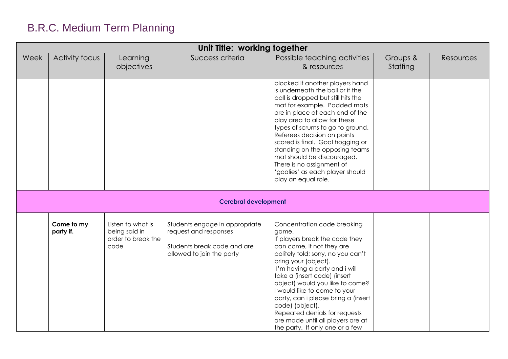| Unit Title: working together |                         |                                                                  |                                                                                                                     |                                                                                                                                                                                                                                                                                                                                                                                                                                                                            |                      |           |  |  |
|------------------------------|-------------------------|------------------------------------------------------------------|---------------------------------------------------------------------------------------------------------------------|----------------------------------------------------------------------------------------------------------------------------------------------------------------------------------------------------------------------------------------------------------------------------------------------------------------------------------------------------------------------------------------------------------------------------------------------------------------------------|----------------------|-----------|--|--|
| Week                         | Activity focus          | Learning<br>objectives                                           | Success criteria                                                                                                    | Possible teaching activities<br>& resources                                                                                                                                                                                                                                                                                                                                                                                                                                | Groups &<br>Staffing | Resources |  |  |
|                              |                         |                                                                  |                                                                                                                     | blocked if another players hand<br>is underneath the ball or if the<br>ball is dropped but still hits the<br>mat for example. Padded mats<br>are in place at each end of the<br>play area to allow for these<br>types of scrums to go to ground.<br>Referees decision on points<br>scored is final. Goal hogging or<br>standing on the opposing teams<br>mat should be discouraged.<br>There is no assignment of<br>'goalies' as each player should<br>play an equal role. |                      |           |  |  |
|                              |                         |                                                                  | <b>Cerebral development</b>                                                                                         |                                                                                                                                                                                                                                                                                                                                                                                                                                                                            |                      |           |  |  |
|                              | Come to my<br>party if. | Listen to what is<br>being said in<br>order to break the<br>code | Students engage in appropriate<br>request and responses<br>Students break code and are<br>allowed to join the party | Concentration code breaking<br>game.<br>If players break the code they<br>can come, if not they are<br>politely told; sorry, no you can't<br>bring your (object).<br>I'm having a party and i will<br>take a (insert code) (insert<br>object) would you like to come?<br>I would like to come to your<br>party, can i please bring a (insert<br>code) (object).<br>Repeated denials for requests<br>are made until all players are at<br>the party. If only one or a few   |                      |           |  |  |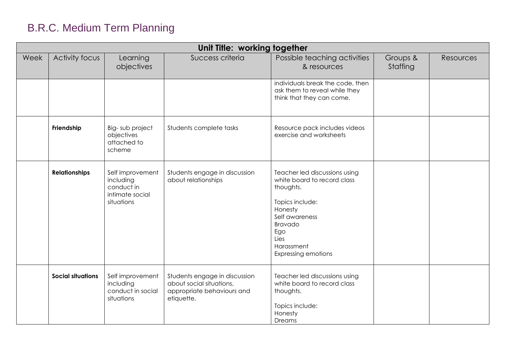| Unit Title: working together |                          |                                                                              |                                                                                                       |                                                                                                                                                                                                 |                      |           |  |  |
|------------------------------|--------------------------|------------------------------------------------------------------------------|-------------------------------------------------------------------------------------------------------|-------------------------------------------------------------------------------------------------------------------------------------------------------------------------------------------------|----------------------|-----------|--|--|
| Week                         | <b>Activity focus</b>    | Learning<br>objectives                                                       | Success criteria                                                                                      | Possible teaching activities<br>& resources                                                                                                                                                     | Groups &<br>Staffing | Resources |  |  |
|                              |                          |                                                                              |                                                                                                       | individuals break the code, then<br>ask them to reveal while they<br>think that they can come.                                                                                                  |                      |           |  |  |
|                              | Friendship               | Big-sub project<br>objectives<br>attached to<br>scheme                       | Students complete tasks                                                                               | Resource pack includes videos<br>exercise and worksheets                                                                                                                                        |                      |           |  |  |
|                              | <b>Relationships</b>     | Self improvement<br>including<br>conduct in<br>intimate social<br>situations | Students engage in discussion<br>about relationships                                                  | Teacher led discussions using<br>white board to record class<br>thoughts.<br>Topics include:<br>Honesty<br>Self awareness<br>Bravado<br>Ego<br>Lies<br>Harassment<br><b>Expressing emotions</b> |                      |           |  |  |
|                              | <b>Social situations</b> | Self improvement<br>including<br>conduct in social<br>situations             | Students engage in discussion<br>about social situations,<br>appropriate behaviours and<br>etiquette. | Teacher led discussions using<br>white board to record class<br>thoughts.<br>Topics include:<br>Honesty<br>Dreams                                                                               |                      |           |  |  |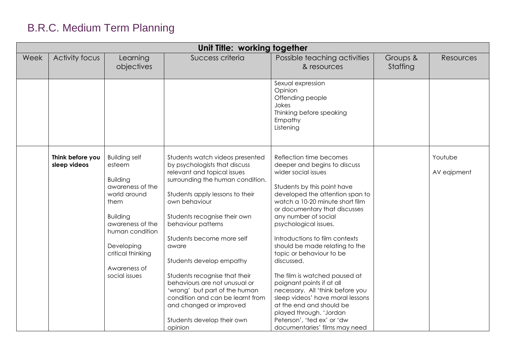| Unit Title: working together |                                  |                                                                                                                                                         |                                                                                                                                                                                                                                                                           |                                                                                                                                                                                                                                                                                                                                                                        |                      |                        |  |  |
|------------------------------|----------------------------------|---------------------------------------------------------------------------------------------------------------------------------------------------------|---------------------------------------------------------------------------------------------------------------------------------------------------------------------------------------------------------------------------------------------------------------------------|------------------------------------------------------------------------------------------------------------------------------------------------------------------------------------------------------------------------------------------------------------------------------------------------------------------------------------------------------------------------|----------------------|------------------------|--|--|
| Week                         | <b>Activity focus</b>            | Learning<br>objectives                                                                                                                                  | Success criteria                                                                                                                                                                                                                                                          | Possible teaching activities<br>& resources                                                                                                                                                                                                                                                                                                                            | Groups &<br>Staffing | Resources              |  |  |
|                              |                                  |                                                                                                                                                         |                                                                                                                                                                                                                                                                           | Sexual expression<br>Opinion<br>Offending people<br>Jokes<br>Thinking before speaking<br>Empathy<br>Listening                                                                                                                                                                                                                                                          |                      |                        |  |  |
|                              | Think before you<br>sleep videos | <b>Building self</b><br>esteem<br><b>Building</b><br>awareness of the<br>world around<br>them<br><b>Building</b><br>awareness of the<br>human condition | Students watch videos presented<br>by psychologists that discuss<br>relevant and topical issues<br>surrounding the human condition.<br>Students apply lessons to their<br>own behaviour<br>Students recognise their own<br>behaviour patterns                             | Reflection time becomes<br>deeper and begins to discuss<br>wider social issues<br>Students by this point have<br>developed the attention span to<br>watch a 10-20 minute short film<br>or documentary that discusses<br>any number of social<br>psychological issues.                                                                                                  |                      | Youtube<br>AV eqipment |  |  |
|                              |                                  | Developing<br>critical thinking<br>Awareness of<br>social issues                                                                                        | Students become more self<br>aware<br>Students develop empathy<br>Students recognise that their<br>behaviours are not unusual or<br>'wrong' but part of the human<br>condition and can be learnt from<br>and changed or improved<br>Students develop their own<br>opinion | Introductions to film contexts<br>should be made relating to the<br>topic or behaviour to be<br>discussed.<br>The film is watched paused at<br>poignant points if at all<br>necessary. All 'think before you<br>sleep videos' have moral lessons<br>at the end and should be<br>played through. 'Jordan<br>Peterson', 'ted ex' or 'dw<br>documentaries' films may need |                      |                        |  |  |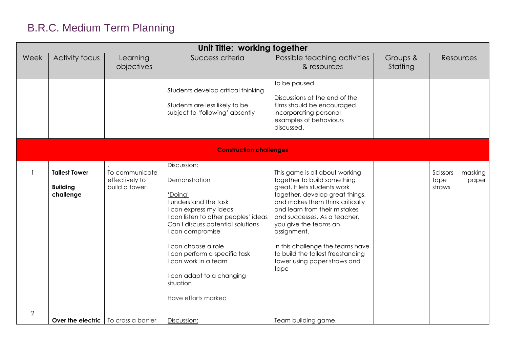|                                | Unit Title: working together                         |                                                    |                                                                                                                                                                                                                                                                                                                                              |                                                                                                                                                                                                                                                                                                                                                                                               |                      |                                                |  |  |  |
|--------------------------------|------------------------------------------------------|----------------------------------------------------|----------------------------------------------------------------------------------------------------------------------------------------------------------------------------------------------------------------------------------------------------------------------------------------------------------------------------------------------|-----------------------------------------------------------------------------------------------------------------------------------------------------------------------------------------------------------------------------------------------------------------------------------------------------------------------------------------------------------------------------------------------|----------------------|------------------------------------------------|--|--|--|
| Week                           | Activity focus                                       | Learning<br>objectives                             | Success criteria                                                                                                                                                                                                                                                                                                                             | Possible teaching activities<br>& resources                                                                                                                                                                                                                                                                                                                                                   | Groups &<br>Staffing | <b>Resources</b>                               |  |  |  |
|                                |                                                      |                                                    | Students develop critical thinking<br>Students are less likely to be<br>subject to 'following' absently                                                                                                                                                                                                                                      | to be paused.<br>Discussions at the end of the<br>films should be encouraged<br>incorporating personal<br>examples of behaviours<br>discussed.                                                                                                                                                                                                                                                |                      |                                                |  |  |  |
| <b>Construction challenges</b> |                                                      |                                                    |                                                                                                                                                                                                                                                                                                                                              |                                                                                                                                                                                                                                                                                                                                                                                               |                      |                                                |  |  |  |
|                                | <b>Tallest Tower</b><br><b>Building</b><br>challenge | To communicate<br>effectively to<br>build a tower. | Discussion:<br>Demonstration<br>'Doing'<br>I understand the task<br>I can express my ideas<br>I can listen to other peoples' ideas<br>Can I discuss potential solutions<br>I can compromise<br>I can choose a role<br>I can perform a specific task<br>I can work in a team<br>I can adapt to a changing<br>situation<br>Have efforts marked | This game is all about working<br>together to build something<br>great. It lets students work<br>together, develop great things,<br>and makes them think critically<br>and learn from their mistakes<br>and successes. As a teacher,<br>you give the teams an<br>assignment.<br>In this challenge the teams have<br>to build the tallest freestanding<br>tower using paper straws and<br>tape |                      | Scissors<br>masking<br>tape<br>paper<br>straws |  |  |  |
| $\overline{2}$                 | Over the electric                                    | To cross a barrier                                 | Discussion:                                                                                                                                                                                                                                                                                                                                  | Team building game.                                                                                                                                                                                                                                                                                                                                                                           |                      |                                                |  |  |  |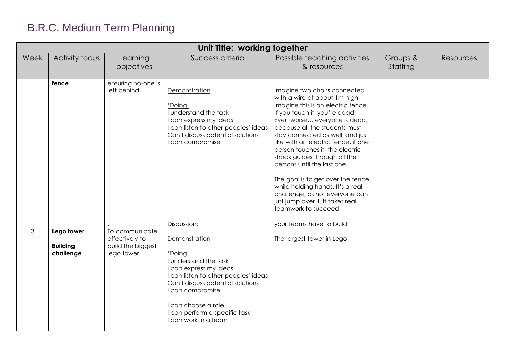| Unit Title: working together |                                            |                                                                      |                                                                                                                                                                                                                                                                             |                                                                                                                                                                                                                                                                                                                                                                                                                                                                                                                                                          |                      |                  |  |  |  |
|------------------------------|--------------------------------------------|----------------------------------------------------------------------|-----------------------------------------------------------------------------------------------------------------------------------------------------------------------------------------------------------------------------------------------------------------------------|----------------------------------------------------------------------------------------------------------------------------------------------------------------------------------------------------------------------------------------------------------------------------------------------------------------------------------------------------------------------------------------------------------------------------------------------------------------------------------------------------------------------------------------------------------|----------------------|------------------|--|--|--|
| Week                         | Activity focus                             | Learning<br>objectives                                               | Success criteria                                                                                                                                                                                                                                                            | Possible teaching activities<br>& resources                                                                                                                                                                                                                                                                                                                                                                                                                                                                                                              | Groups &<br>Staffing | <b>Resources</b> |  |  |  |
|                              | fence                                      | ensuring no-one is<br>left behind                                    | Demonstration<br>'Doing'<br>I understand the task<br>I can express my ideas<br>I can listen to other peoples' ideas<br>Can I discuss potential solutions<br>I can compromise                                                                                                | Imagine two chairs connected<br>with a wire at about 1m high.<br>Imagine this is an electric fence.<br>If you touch it, you're dead.<br>Even worse everyone is dead,<br>because all the students must<br>stay connected as well, and just<br>like with an electric fence, if one<br>person touches it, the electric<br>shock guides through all the<br>persons until the last one.<br>The goal is to get over the fence<br>while holding hands. It's a real<br>challenge, as not everyone can<br>just jump over it. It takes real<br>teamwork to succeed |                      |                  |  |  |  |
| $\mathfrak{S}$               | Lego tower<br><b>Building</b><br>challenge | To communicate<br>effectively to<br>build the biggest<br>lego tower. | Discussion:<br>Demonstration<br>'Doing'<br>I understand the task<br>I can express my ideas<br>I can listen to other peoples' ideas<br>Can I discuss potential solutions<br>I can compromise<br>I can choose a role<br>I can perform a specific task<br>I can work in a team | your teams have to build:<br>The largest tower in Lego                                                                                                                                                                                                                                                                                                                                                                                                                                                                                                   |                      |                  |  |  |  |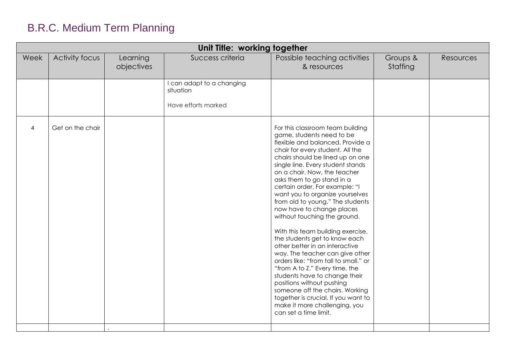| Unit Title: working together |                       |                        |                                                               |                                                                                                                                                                                                                                                                                                                                                                                                                                                                                                                                                                                                                                                                                                                                                                                                                                                                            |                      |           |  |
|------------------------------|-----------------------|------------------------|---------------------------------------------------------------|----------------------------------------------------------------------------------------------------------------------------------------------------------------------------------------------------------------------------------------------------------------------------------------------------------------------------------------------------------------------------------------------------------------------------------------------------------------------------------------------------------------------------------------------------------------------------------------------------------------------------------------------------------------------------------------------------------------------------------------------------------------------------------------------------------------------------------------------------------------------------|----------------------|-----------|--|
| Week                         | <b>Activity focus</b> | Learning<br>objectives | Success criteria                                              | Possible teaching activities<br>& resources                                                                                                                                                                                                                                                                                                                                                                                                                                                                                                                                                                                                                                                                                                                                                                                                                                | Groups &<br>Staffing | Resources |  |
|                              |                       |                        | I can adapt to a changing<br>situation<br>Have efforts marked |                                                                                                                                                                                                                                                                                                                                                                                                                                                                                                                                                                                                                                                                                                                                                                                                                                                                            |                      |           |  |
| $\overline{4}$               | Get on the chair      |                        |                                                               | For this classroom team building<br>game, students need to be<br>flexible and balanced. Provide a<br>chair for every student. All the<br>chairs should be lined up on one<br>single line. Every student stands<br>on a chair. Now, the teacher<br>asks them to go stand in a<br>certain order. For example: "I<br>want you to organize yourselves<br>from old to young." The students<br>now have to change places<br>without touching the ground.<br>With this team building exercise,<br>the students get to know each<br>other better in an interactive<br>way. The teacher can give other<br>orders like: "from tall to small." or<br>"from A to Z." Every time, the<br>students have to change their<br>positions without pushing<br>someone off the chairs. Working<br>together is crucial. If you want to<br>make it more challenging, you<br>can set a time limit. |                      |           |  |
|                              |                       |                        |                                                               |                                                                                                                                                                                                                                                                                                                                                                                                                                                                                                                                                                                                                                                                                                                                                                                                                                                                            |                      |           |  |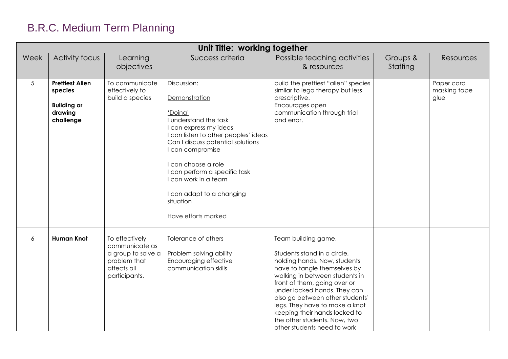|          | Unit Title: working together                                                    |                                                                                                        |                                                                                                                                                                                                                                                                                                                                              |                                                                                                                                                                                                                                                                                                                                                                                           |                      |                                    |
|----------|---------------------------------------------------------------------------------|--------------------------------------------------------------------------------------------------------|----------------------------------------------------------------------------------------------------------------------------------------------------------------------------------------------------------------------------------------------------------------------------------------------------------------------------------------------|-------------------------------------------------------------------------------------------------------------------------------------------------------------------------------------------------------------------------------------------------------------------------------------------------------------------------------------------------------------------------------------------|----------------------|------------------------------------|
| Week     | Activity focus                                                                  | Learning<br>objectives                                                                                 | Success criteria                                                                                                                                                                                                                                                                                                                             | Possible teaching activities<br>& resources                                                                                                                                                                                                                                                                                                                                               | Groups &<br>Staffing | Resources                          |
| 5        | <b>Prettiest Alien</b><br>species<br><b>Building or</b><br>drawing<br>challenge | To communicate<br>effectively to<br>build a species                                                    | Discussion:<br>Demonstration<br>'Doing'<br>I understand the task<br>I can express my ideas<br>I can listen to other peoples' ideas<br>Can I discuss potential solutions<br>I can compromise<br>I can choose a role<br>I can perform a specific task<br>I can work in a team<br>I can adapt to a changing<br>situation<br>Have efforts marked | build the prettiest "alien" species<br>similar to lego therapy but less<br>prescriptive.<br>Encourages open<br>communication through trial<br>and error.                                                                                                                                                                                                                                  |                      | Paper card<br>masking tape<br>glue |
| $\delta$ | <b>Human Knot</b>                                                               | To effectively<br>communicate as<br>a group to solve a<br>problem that<br>affects all<br>participants. | Tolerance of others<br>Problem solving ability<br>Encouraging effective<br>communication skills                                                                                                                                                                                                                                              | Team building game.<br>Students stand in a circle,<br>holding hands. Now, students<br>have to tangle themselves by<br>walking in between students in<br>front of them, going over or<br>under locked hands. They can<br>also go between other students'<br>legs. They have to make a knot<br>keeping their hands locked to<br>the other students. Now, two<br>other students need to work |                      |                                    |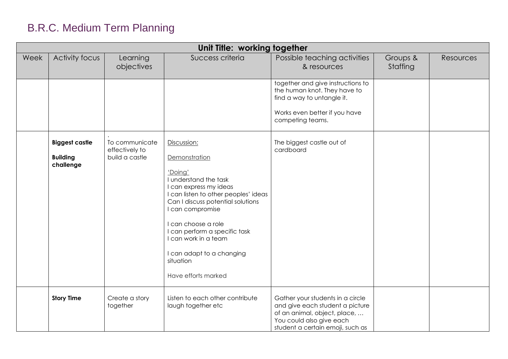|      | Unit Title: working together                          |                                                    |                                                                                                                                                                                                                                                                                                                                              |                                                                                                                                                                     |                      |           |
|------|-------------------------------------------------------|----------------------------------------------------|----------------------------------------------------------------------------------------------------------------------------------------------------------------------------------------------------------------------------------------------------------------------------------------------------------------------------------------------|---------------------------------------------------------------------------------------------------------------------------------------------------------------------|----------------------|-----------|
| Week | Activity focus                                        | Learning<br>objectives                             | Success criteria                                                                                                                                                                                                                                                                                                                             | Possible teaching activities<br>& resources                                                                                                                         | Groups &<br>Staffing | Resources |
|      |                                                       |                                                    |                                                                                                                                                                                                                                                                                                                                              | together and give instructions to<br>the human knot. They have to<br>find a way to untangle it.<br>Works even better if you have<br>competing teams.                |                      |           |
|      | <b>Biggest castle</b><br><b>Building</b><br>challenge | To communicate<br>effectively to<br>build a castle | Discussion:<br>Demonstration<br>'Doing'<br>I understand the task<br>I can express my ideas<br>I can listen to other peoples' ideas<br>Can I discuss potential solutions<br>I can compromise<br>I can choose a role<br>I can perform a specific task<br>I can work in a team<br>I can adapt to a changing<br>situation<br>Have efforts marked | The biggest castle out of<br>cardboard                                                                                                                              |                      |           |
|      | <b>Story Time</b>                                     | Create a story<br>together                         | Listen to each other contribute<br>laugh together etc                                                                                                                                                                                                                                                                                        | Gather your students in a circle<br>and give each student a picture<br>of an animal, object, place,<br>You could also give each<br>student a certain emoji, such as |                      |           |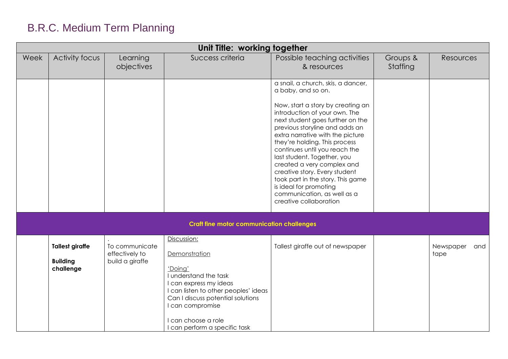|      | Unit Title: working together                           |                                                     |                                                                                                                                                                                                                                                     |                                                                                                                                                                                                                                                                                                                                                                                                                                                                                                                                  |                      |                          |  |
|------|--------------------------------------------------------|-----------------------------------------------------|-----------------------------------------------------------------------------------------------------------------------------------------------------------------------------------------------------------------------------------------------------|----------------------------------------------------------------------------------------------------------------------------------------------------------------------------------------------------------------------------------------------------------------------------------------------------------------------------------------------------------------------------------------------------------------------------------------------------------------------------------------------------------------------------------|----------------------|--------------------------|--|
| Week | Activity focus                                         | Learning<br>objectives                              | Success criteria                                                                                                                                                                                                                                    | Possible teaching activities<br>& resources                                                                                                                                                                                                                                                                                                                                                                                                                                                                                      | Groups &<br>Staffing | <b>Resources</b>         |  |
|      |                                                        |                                                     |                                                                                                                                                                                                                                                     | a snail, a church, skis, a dancer,<br>a baby, and so on.<br>Now, start a story by creating an<br>introduction of your own. The<br>next student goes further on the<br>previous storyline and adds an<br>extra narrative with the picture<br>they're holding. This process<br>continues until you reach the<br>last student. Together, you<br>created a very complex and<br>creative story. Every student<br>took part in the story. This game<br>is ideal for promoting<br>communication, as well as a<br>creative collaboration |                      |                          |  |
|      |                                                        |                                                     | <b>Craft fine motor communication challenges</b>                                                                                                                                                                                                    |                                                                                                                                                                                                                                                                                                                                                                                                                                                                                                                                  |                      |                          |  |
|      | <b>Tallest giraffe</b><br><b>Building</b><br>challenge | To communicate<br>effectively to<br>build a giraffe | Discussion:<br>Demonstration<br>'Doing'<br>I understand the task<br>I can express my ideas<br>I can listen to other peoples' ideas<br>Can I discuss potential solutions<br>I can compromise<br>I can choose a role<br>I can perform a specific task | Tallest giraffe out of newspaper                                                                                                                                                                                                                                                                                                                                                                                                                                                                                                 |                      | Newspaper<br>and<br>tape |  |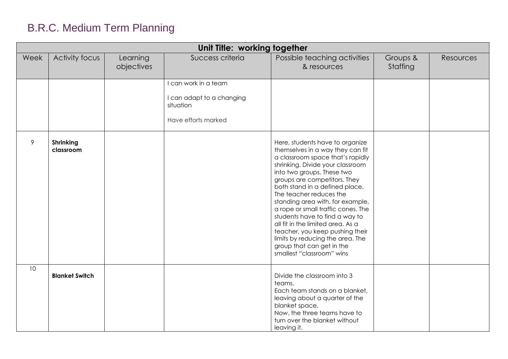|      | Unit Title: working together  |                        |                                                                                       |                                                                                                                                                                                                                                                                                                                                                                                                                                                                                                                                                          |                      |           |
|------|-------------------------------|------------------------|---------------------------------------------------------------------------------------|----------------------------------------------------------------------------------------------------------------------------------------------------------------------------------------------------------------------------------------------------------------------------------------------------------------------------------------------------------------------------------------------------------------------------------------------------------------------------------------------------------------------------------------------------------|----------------------|-----------|
| Week | Activity focus                | Learning<br>objectives | Success criteria                                                                      | Possible teaching activities<br>& resources                                                                                                                                                                                                                                                                                                                                                                                                                                                                                                              | Groups &<br>Staffing | Resources |
|      |                               |                        | I can work in a team<br>I can adapt to a changing<br>situation<br>Have efforts marked |                                                                                                                                                                                                                                                                                                                                                                                                                                                                                                                                                          |                      |           |
| 9    | <b>Shrinking</b><br>classroom |                        |                                                                                       | Here, students have to organize<br>themselves in a way they can fit<br>a classroom space that's rapidly<br>shrinking. Divide your classroom<br>into two groups. These two<br>groups are competitors. They<br>both stand in a defined place.<br>The teacher reduces the<br>standing area with, for example,<br>a rope or small traffic cones. The<br>students have to find a way to<br>all fit in the limited area. As a<br>teacher, you keep pushing their<br>limits by reducing the area. The<br>group that can get in the<br>smallest "classroom" wins |                      |           |
| 10   | <b>Blanket Switch</b>         |                        |                                                                                       | Divide the classroom into 3<br>teams.<br>Each team stands on a blanket,<br>leaving about a quarter of the<br>blanket space.<br>Now, the three teams have to<br>turn over the blanket without<br>leaving it.                                                                                                                                                                                                                                                                                                                                              |                      |           |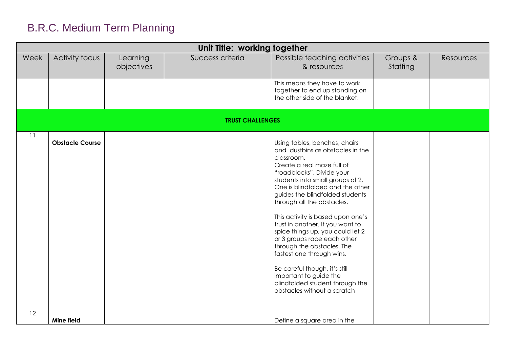|      | Unit Title: working together |                        |                         |                                                                                                                                                                                                                                                                                                                                                                                                                                                                                                                                                                                                                         |                      |                  |
|------|------------------------------|------------------------|-------------------------|-------------------------------------------------------------------------------------------------------------------------------------------------------------------------------------------------------------------------------------------------------------------------------------------------------------------------------------------------------------------------------------------------------------------------------------------------------------------------------------------------------------------------------------------------------------------------------------------------------------------------|----------------------|------------------|
| Week | Activity focus               | Learning<br>objectives | Success criteria        | Possible teaching activities<br>& resources                                                                                                                                                                                                                                                                                                                                                                                                                                                                                                                                                                             | Groups &<br>Staffing | <b>Resources</b> |
|      |                              |                        |                         | This means they have to work<br>together to end up standing on<br>the other side of the blanket.                                                                                                                                                                                                                                                                                                                                                                                                                                                                                                                        |                      |                  |
|      |                              |                        | <b>TRUST CHALLENGES</b> |                                                                                                                                                                                                                                                                                                                                                                                                                                                                                                                                                                                                                         |                      |                  |
| 11   | <b>Obstacle Course</b>       |                        |                         | Using tables, benches, chairs<br>and dustbins as obstacles in the<br>classroom.<br>Create a real maze full of<br>"roadblocks". Divide your<br>students into small groups of 2.<br>One is blindfolded and the other<br>guides the blindfolded students<br>through all the obstacles.<br>This activity is based upon one's<br>trust in another. If you want to<br>spice things up, you could let 2<br>or 3 groups race each other<br>through the obstacles. The<br>fastest one through wins.<br>Be careful though, it's still<br>important to guide the<br>blindfolded student through the<br>obstacles without a scratch |                      |                  |
| 12   | Mine field                   |                        |                         | Define a square area in the                                                                                                                                                                                                                                                                                                                                                                                                                                                                                                                                                                                             |                      |                  |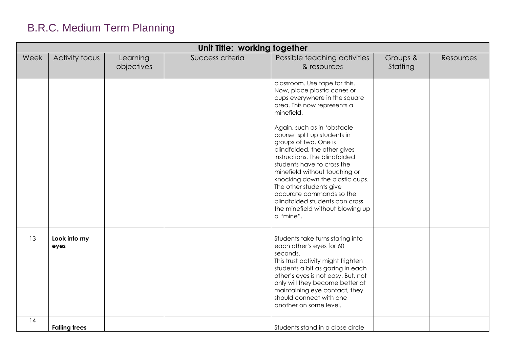| Unit Title: working together |                      |                        |                  |                                                                                                                                                                                                                                                                                                                                                                                                                                                                                                                                                 |                      |           |
|------------------------------|----------------------|------------------------|------------------|-------------------------------------------------------------------------------------------------------------------------------------------------------------------------------------------------------------------------------------------------------------------------------------------------------------------------------------------------------------------------------------------------------------------------------------------------------------------------------------------------------------------------------------------------|----------------------|-----------|
| Week                         | Activity focus       | Learning<br>objectives | Success criteria | Possible teaching activities<br>& resources                                                                                                                                                                                                                                                                                                                                                                                                                                                                                                     | Groups &<br>Staffing | Resources |
|                              |                      |                        |                  | classroom. Use tape for this.<br>Now, place plastic cones or<br>cups everywhere in the square<br>area. This now represents a<br>minefield.<br>Again, such as in 'obstacle<br>course' split up students in<br>groups of two. One is<br>blindfolded, the other gives<br>instructions. The blindfolded<br>students have to cross the<br>minefield without touching or<br>knocking down the plastic cups.<br>The other students give<br>accurate commands so the<br>blindfolded students can cross<br>the minefield without blowing up<br>a "mine". |                      |           |
| 13                           | Look into my<br>eyes |                        |                  | Students take turns staring into<br>each other's eyes for 60<br>seconds.<br>This trust activity might frighten<br>students a bit as gazing in each<br>other's eyes is not easy. But, not<br>only will they become better at<br>maintaining eye contact, they<br>should connect with one<br>another on some level.                                                                                                                                                                                                                               |                      |           |
| 14                           | <b>Falling trees</b> |                        |                  | Students stand in a close circle                                                                                                                                                                                                                                                                                                                                                                                                                                                                                                                |                      |           |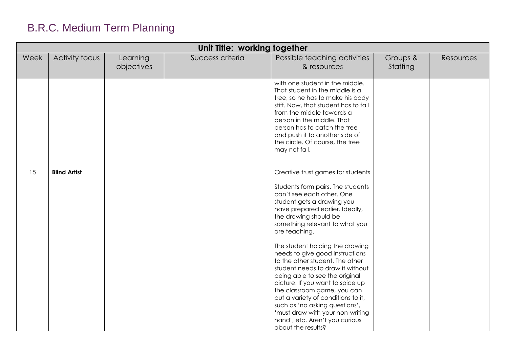|      | Unit Title: working together |                        |                  |                                                                                                                                                                                                                                                                                                                                                                                                                                                                                                                                                                                                                                                                        |                      |           |
|------|------------------------------|------------------------|------------------|------------------------------------------------------------------------------------------------------------------------------------------------------------------------------------------------------------------------------------------------------------------------------------------------------------------------------------------------------------------------------------------------------------------------------------------------------------------------------------------------------------------------------------------------------------------------------------------------------------------------------------------------------------------------|----------------------|-----------|
| Week | <b>Activity focus</b>        | Learning<br>objectives | Success criteria | Possible teaching activities<br>& resources                                                                                                                                                                                                                                                                                                                                                                                                                                                                                                                                                                                                                            | Groups &<br>Staffing | Resources |
|      |                              |                        |                  | with one student in the middle.<br>That student in the middle is a<br>tree, so he has to make his body<br>stiff. Now, that student has to fall<br>from the middle towards a<br>person in the middle. That<br>person has to catch the tree<br>and push it to another side of<br>the circle. Of course, the tree<br>may not fall.                                                                                                                                                                                                                                                                                                                                        |                      |           |
| 15   | <b>Blind Artist</b>          |                        |                  | Creative trust games for students<br>Students form pairs. The students<br>can't see each other. One<br>student gets a drawing you<br>have prepared earlier. Ideally,<br>the drawing should be<br>something relevant to what you<br>are teaching.<br>The student holding the drawing<br>needs to give good instructions<br>to the other student. The other<br>student needs to draw it without<br>being able to see the original<br>picture. If you want to spice up<br>the classroom game, you can<br>put a variety of conditions to it,<br>such as 'no asking questions',<br>'must draw with your non-writing<br>hand', etc. Aren't you curious<br>about the results? |                      |           |